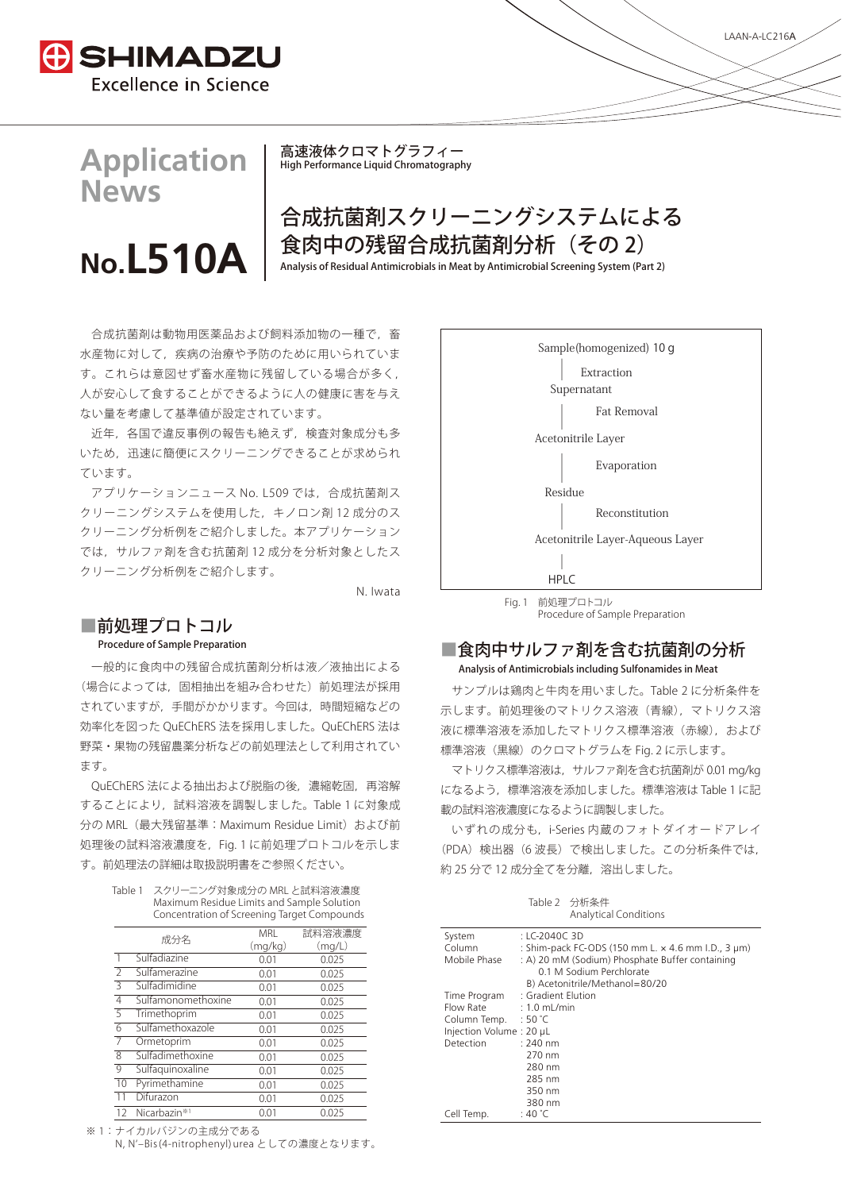

# **Application News**

# **No.L510\$**

高速液体クロマトグラフィー High Performance Liquid Chromatography

# 合成抗菌剤スクリーニングシステムによる 食肉中の残留合成抗菌剤分析(その 2)

Analysis of Residual Antimicrobials in Meat by Antimicrobial Screening System (Part 2)

合成抗菌剤は動物用医薬品および飼料添加物の一種で,畜 水産物に対して,疾病の治療や予防のために用いられていま す。これらは意図せず畜水産物に残留している場合が多く, 人が安心して食することができるように人の健康に害を与え ない量を考慮して基準値が設定されています。

近年,各国で違反事例の報告も絶えず,検査対象成分も多 いため,迅速に簡便にスクリーニングできることが求められ ています。

アプリケーションニュース No. L509 では,合成抗菌剤ス クリーニングシステムを使用した,キノロン剤 12 成分のス クリーニング分析例をご紹介しました。本アプリケーション では,サルファ剤を含む抗菌剤 12 成分を分析対象としたス クリーニング分析例をご紹介します。

N. Iwata

## ■前処理プロトコル

### Procedure of Sample Preparation

一般的に食肉中の残留合成抗菌剤分析は液/液抽出による (場合によっては,固相抽出を組み合わせた)前処理法が採用 されていますが,手間がかかります。今回は,時間短縮などの 効率化を図った QuEChERS 法を採用しました。QuEChERS 法は 野菜・果物の残留農薬分析などの前処理法として利用されてい ます。

QuEChERS 法による抽出および脱脂の後、濃縮乾固,再溶解 することにより,試料溶液を調製しました。Table 1 に対象成 分の MRL (最大残留基準: Maximum Residue Limit) および前 処理後の試料溶液濃度を,Fig. 1 に前処理プロトコルを示しま す。前処理法の詳細は取扱説明書をご参照ください。

| Table 1 | スクリーニング対象成分の MRL と試料溶液濃度                    |
|---------|---------------------------------------------|
|         | Maximum Residue Limits and Sample Solution  |
|         | Concentration of Screening Target Compounds |

|                          | 成分名                      | MRI     | 試料溶液濃度 |
|--------------------------|--------------------------|---------|--------|
|                          |                          | (mq/kg) | (mq/L) |
| $\mathbf{1}$             | Sulfadiazine             | 0.01    | 0.025  |
| $\overline{\phantom{a}}$ | Sulfamerazine            | 0.01    | 0.025  |
| 3                        | Sulfadimidine            | 0.01    | 0.025  |
| $\overline{4}$           | Sulfamonomethoxine       | 0.01    | 0.025  |
| 5                        | Trimethoprim             | 0.01    | 0.025  |
| 6                        | Sulfamethoxazole         | 0.01    | 0.025  |
| $\overline{7}$           | Ormetoprim               | 0.01    | 0.025  |
| $\overline{8}$           | Sulfadimethoxine         | 0.01    | 0.025  |
| 9                        | Sulfaquinoxaline         | 0.01    | 0.025  |
| 10                       | Pyrimethamine            | 0.01    | 0.025  |
| 11                       | Difurazon                | 0.01    | 0.025  |
| 12                       | Nicarbazin <sup>**</sup> | 0.01    | 0.025  |

※ 1:ナイカルバジンの主成分である

N, Nʻ‒Bis(4-nitrophenyl)urea としての濃度となります。



Procedure of Sample Preparation

### ■食肉中サルファ剤を含む抗菌剤の分析 Analysis of Antimicrobials including Sulfonamides in Meat

サンプルは鶏肉と牛肉を用いました。Table 2 に分析条件を 示します。前処理後のマトリクス溶液(青線),マトリクス溶 液に標準溶液を添加したマトリクス標準溶液(赤線),および 標準溶液(黒線)のクロマトグラムを Fig. 2 に示します。

マトリクス標準溶液は,サルファ剤を含む抗菌剤が 0.01 mg/kg になるよう,標準溶液を添加しました。標準溶液は Table 1 に記 載の試料溶液濃度になるように調製しました。

いずれの成分も,i-Series 内蔵のフォトダイオードアレイ (PDA)検出器(6 波長)で検出しました。この分析条件では, 約 25 分で 12 成分全てを分離, 溶出しました。

| Table 2 分析条件                 |
|------------------------------|
| <b>Analytical Conditions</b> |

| System                  | : LC-2040C 3D                                                               |  |  |
|-------------------------|-----------------------------------------------------------------------------|--|--|
| Column                  | : Shim-pack FC-ODS (150 mm L. x 4.6 mm I.D., 3 µm)                          |  |  |
| Mobile Phase            | : A) 20 mM (Sodium) Phosphate Buffer containing<br>0.1 M Sodium Perchlorate |  |  |
|                         | B) Acetonitrile/Methanol=80/20                                              |  |  |
| Time Program            | : Gradient Elution                                                          |  |  |
| Flow Rate : 1.0 mL/min  |                                                                             |  |  |
| Column Temp. : 50 °C    |                                                                             |  |  |
| Injection Volume: 20 µL |                                                                             |  |  |
| <b>Detection</b>        | $: 240$ nm                                                                  |  |  |
|                         | 270 nm                                                                      |  |  |
|                         | 280 nm                                                                      |  |  |
|                         | 285 nm                                                                      |  |  |
|                         | 350 nm                                                                      |  |  |
|                         | 380 nm                                                                      |  |  |
| Cell Temp.              | : 40 °C                                                                     |  |  |